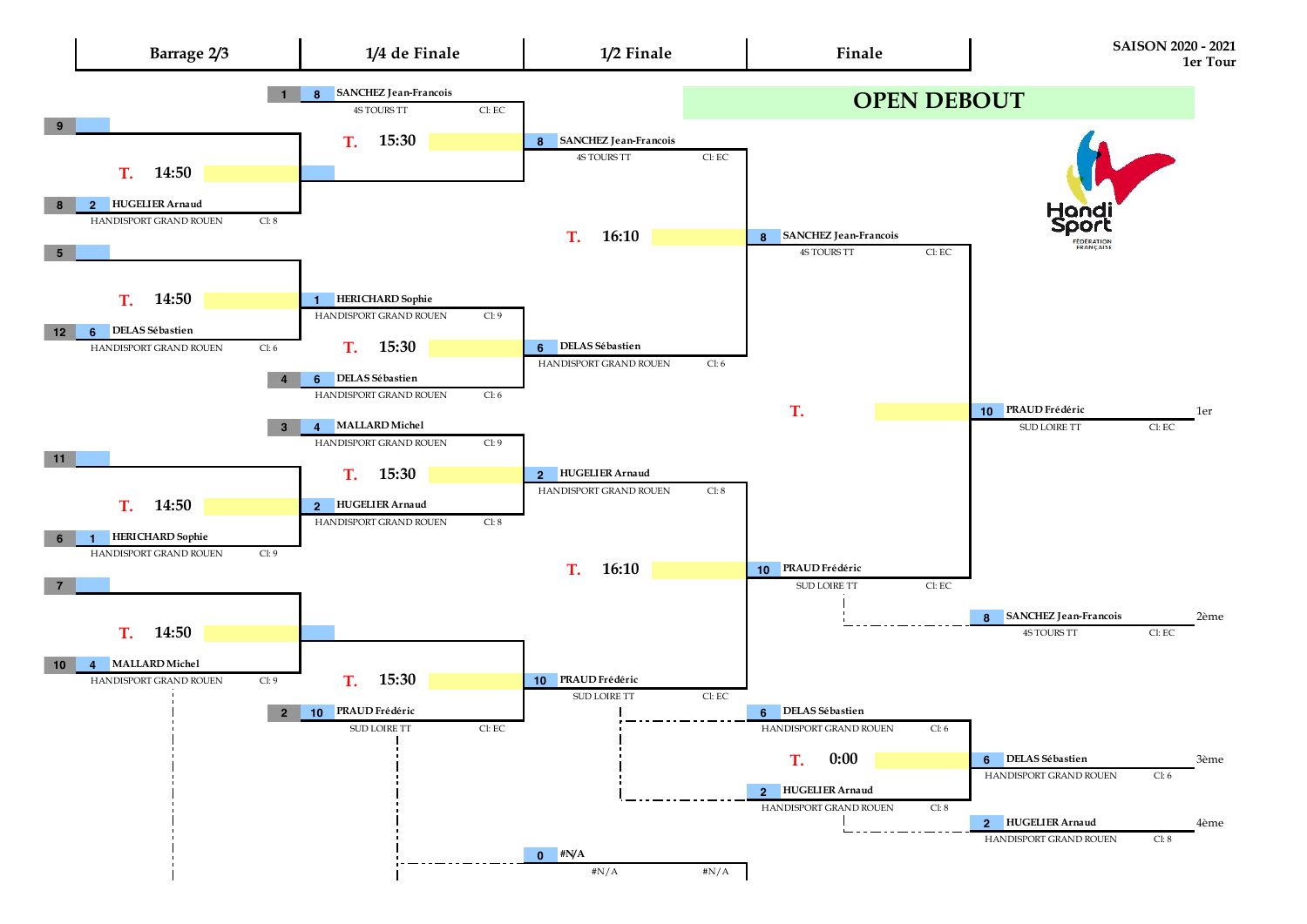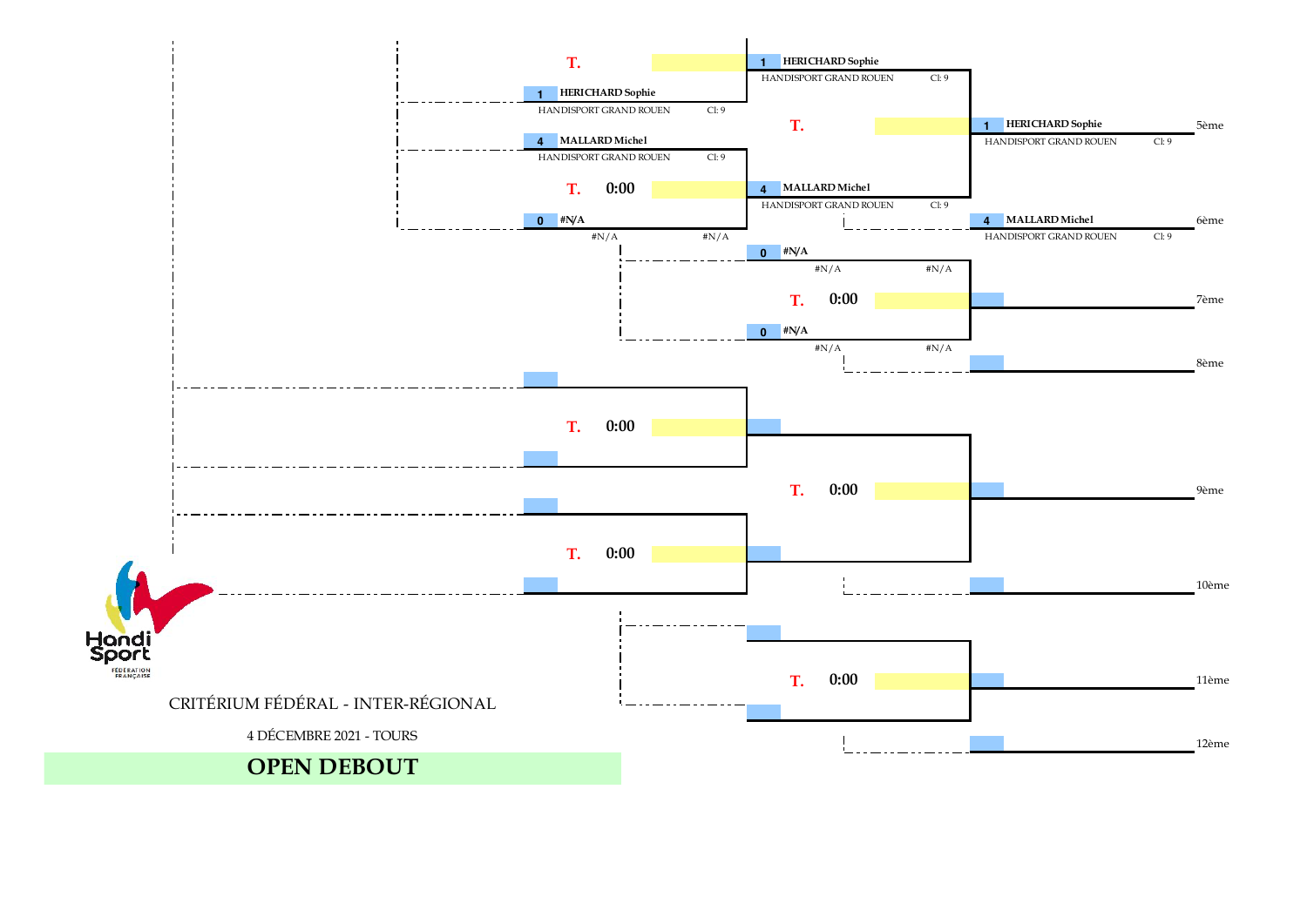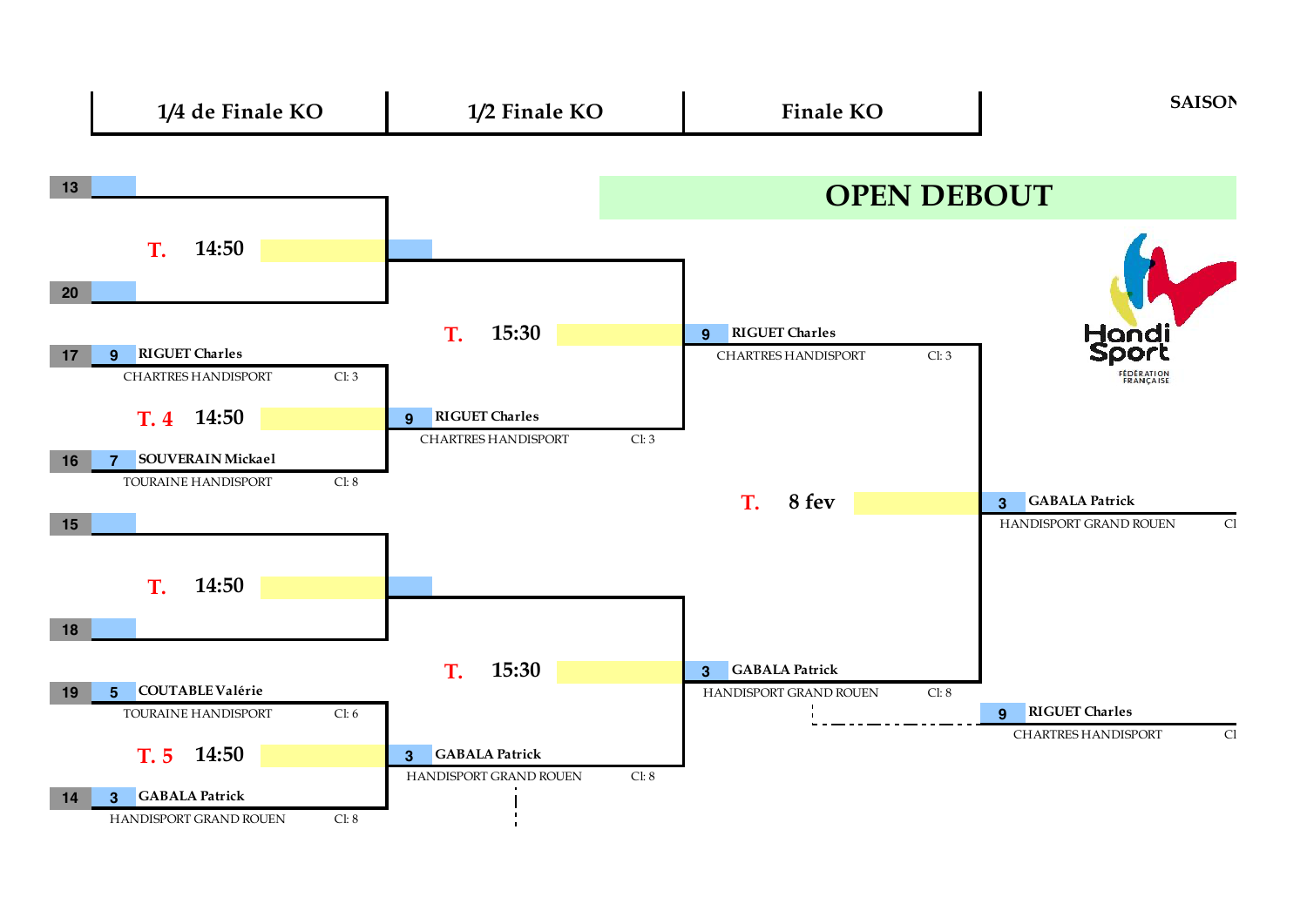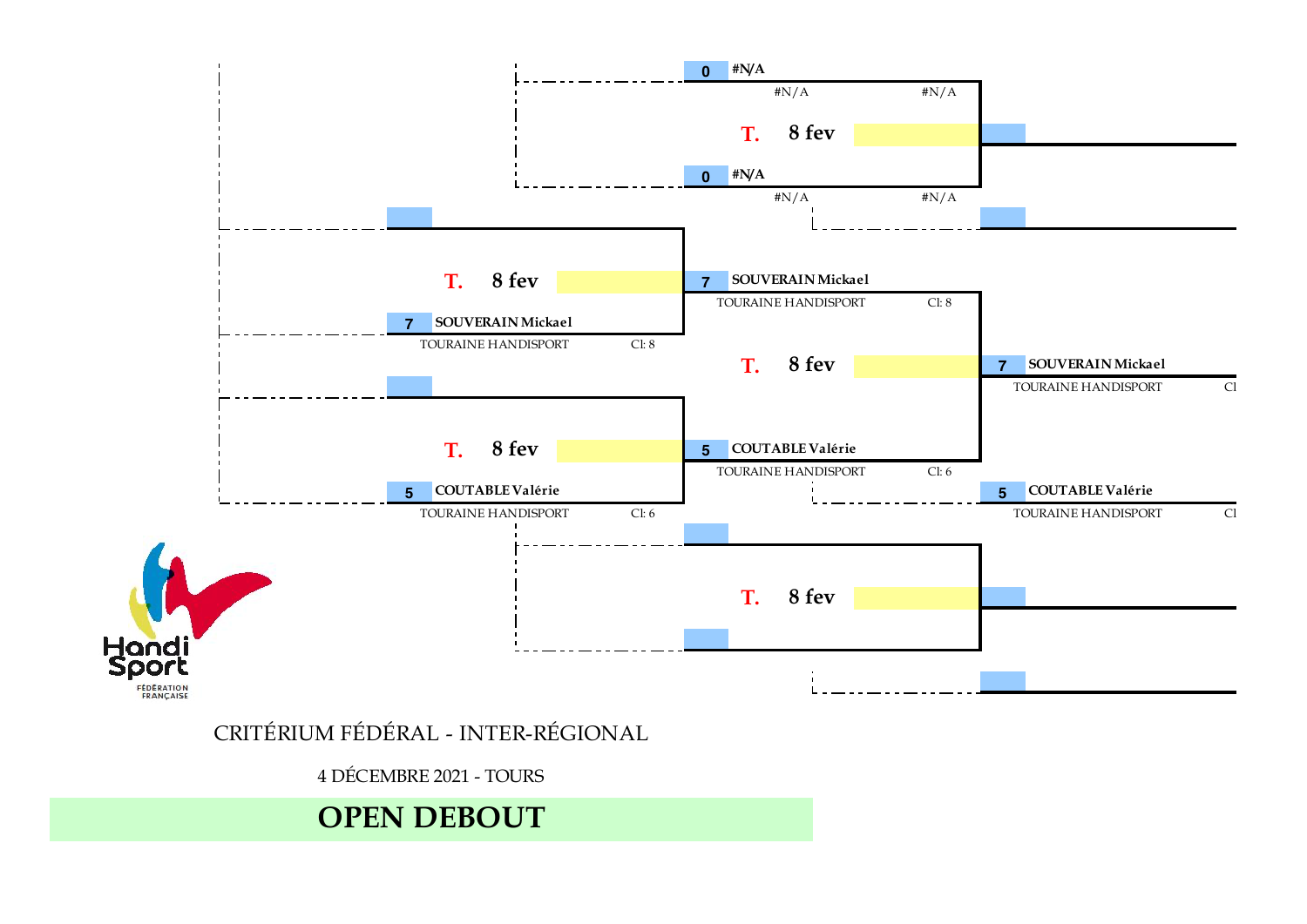

## CRITÉRIUM FÉDÉRAL - INTER-RÉGIONAL

4 DÉCEMBRE 2021 - TOURS

## **OPEN DEBOUT**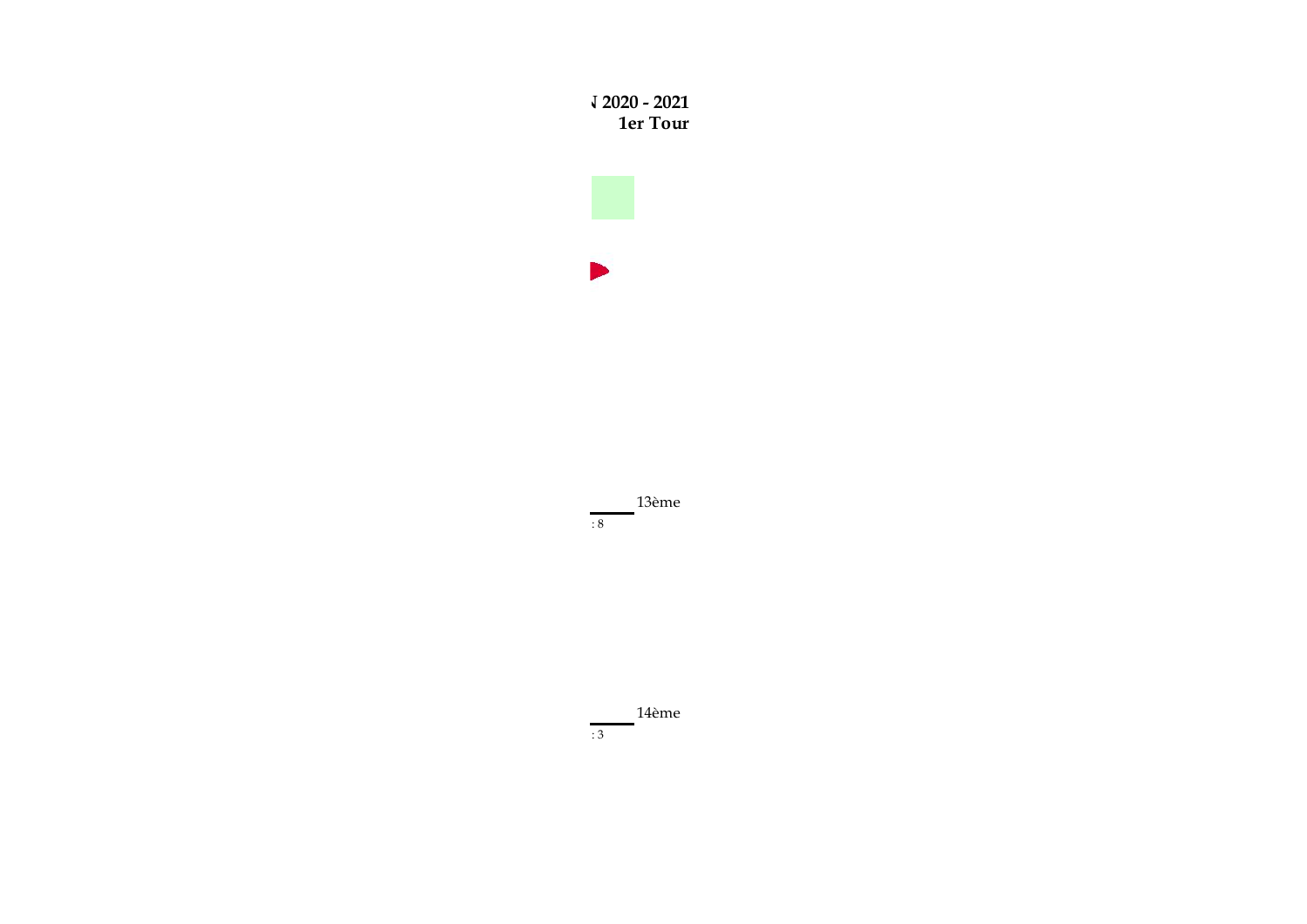



13ème  $\cdot$  8

14ème  $: 3$